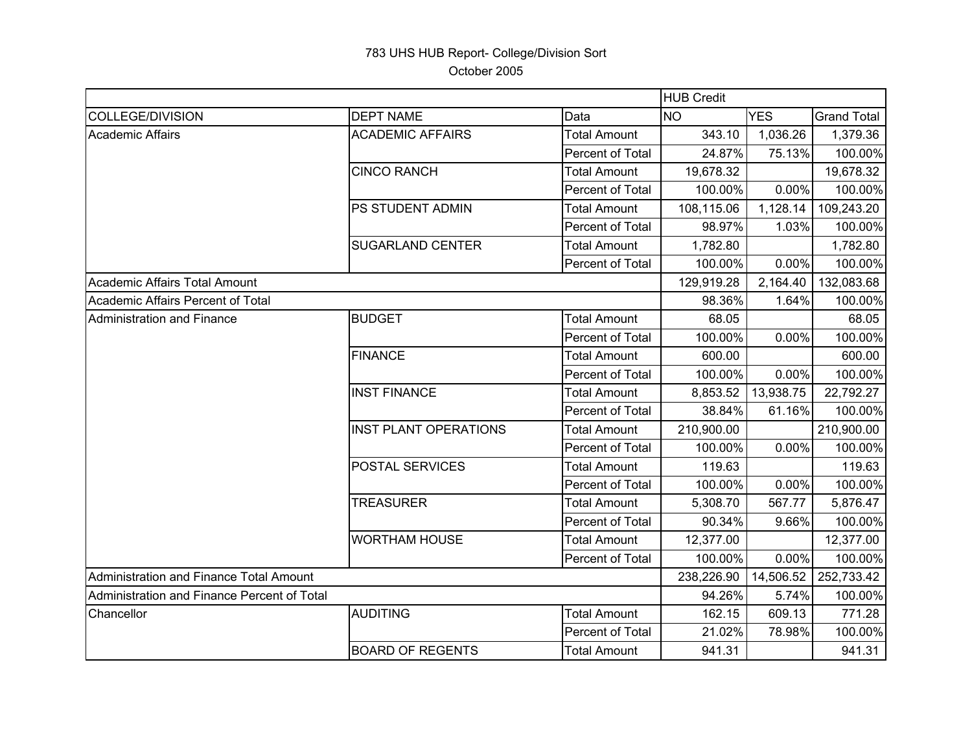## 783 UHS HUB Report- College/Division Sort October 2005

|                                             |                              |                     | <b>HUB Credit</b> |            |                    |  |
|---------------------------------------------|------------------------------|---------------------|-------------------|------------|--------------------|--|
| <b>COLLEGE/DIVISION</b>                     | <b>DEPT NAME</b>             | Data                | <b>NO</b>         | <b>YES</b> | <b>Grand Total</b> |  |
| <b>Academic Affairs</b>                     | <b>ACADEMIC AFFAIRS</b>      | <b>Total Amount</b> | 343.10            | 1,036.26   | 1,379.36           |  |
|                                             |                              | Percent of Total    | 24.87%            | 75.13%     | 100.00%            |  |
|                                             | <b>CINCO RANCH</b>           | <b>Total Amount</b> | 19,678.32         |            | 19,678.32          |  |
|                                             |                              | Percent of Total    | 100.00%           | 0.00%      | 100.00%            |  |
|                                             | PS STUDENT ADMIN             | <b>Total Amount</b> | 108,115.06        | 1,128.14   | 109,243.20         |  |
|                                             |                              | Percent of Total    | 98.97%            | 1.03%      | 100.00%            |  |
|                                             | <b>SUGARLAND CENTER</b>      | <b>Total Amount</b> | 1,782.80          |            | 1,782.80           |  |
|                                             |                              | Percent of Total    | 100.00%           | $0.00\%$   | 100.00%            |  |
| Academic Affairs Total Amount               |                              |                     | 129,919.28        | 2,164.40   | 132,083.68         |  |
| Academic Affairs Percent of Total           |                              |                     | 98.36%            | 1.64%      | 100.00%            |  |
| <b>Administration and Finance</b>           | <b>BUDGET</b>                | <b>Total Amount</b> | 68.05             |            | 68.05              |  |
|                                             |                              | Percent of Total    | 100.00%           | 0.00%      | 100.00%            |  |
|                                             | <b>FINANCE</b>               | <b>Total Amount</b> | 600.00            |            | 600.00             |  |
|                                             |                              | Percent of Total    | 100.00%           | 0.00%      | 100.00%            |  |
|                                             | <b>INST FINANCE</b>          | <b>Total Amount</b> | 8,853.52          | 13,938.75  | 22,792.27          |  |
|                                             |                              | Percent of Total    | 38.84%            | 61.16%     | 100.00%            |  |
|                                             | <b>INST PLANT OPERATIONS</b> | <b>Total Amount</b> | 210,900.00        |            | 210,900.00         |  |
|                                             |                              | Percent of Total    | 100.00%           | 0.00%      | 100.00%            |  |
|                                             | <b>POSTAL SERVICES</b>       | <b>Total Amount</b> | 119.63            |            | 119.63             |  |
|                                             |                              | Percent of Total    | 100.00%           | 0.00%      | 100.00%            |  |
|                                             | <b>TREASURER</b>             | <b>Total Amount</b> | 5,308.70          | 567.77     | 5,876.47           |  |
|                                             |                              | Percent of Total    | 90.34%            | 9.66%      | 100.00%            |  |
|                                             | <b>WORTHAM HOUSE</b>         | Total Amount        | 12,377.00         |            | 12,377.00          |  |
|                                             |                              | Percent of Total    | 100.00%           | $0.00\%$   | 100.00%            |  |
| Administration and Finance Total Amount     |                              |                     | 238,226.90        | 14,506.52  | 252,733.42         |  |
| Administration and Finance Percent of Total |                              | 94.26%              | 5.74%             | 100.00%    |                    |  |
| Chancellor                                  | <b>AUDITING</b>              | <b>Total Amount</b> | 162.15            | 609.13     | 771.28             |  |
|                                             |                              | Percent of Total    | 21.02%            | 78.98%     | 100.00%            |  |
|                                             | <b>BOARD OF REGENTS</b>      | <b>Total Amount</b> | 941.31            |            | 941.31             |  |